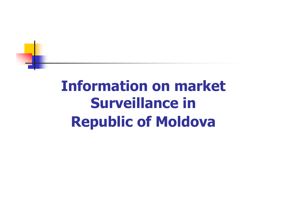## Information on market Surveillance in Republic of Moldova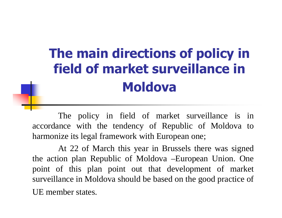## The main directions of policy in field of market surveillance in Moldova

The policy in field of market surveillance is in accordance with the tendency of Republic of Moldova to harmonize its legal framework with European one;

At 22 of March this year in Brussels there was signed the action plan Republic of Moldova –European Union. One point of this plan point out that development of market surveillance in Moldova should be based on the good practice of UE member states.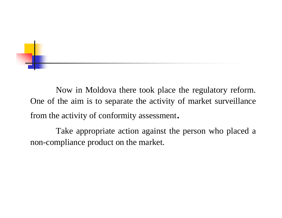Now in Moldova there took place the regulatory reform. One of the aim is to separate the activity of market surveillance from the activity of conformity assessment.

Take appropriate action against the person who placed a non-compliance product on the market.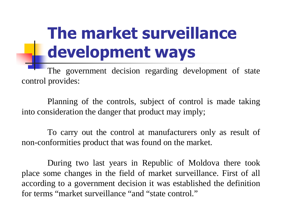## The market surveillance development ways

The government decision regarding development of state control provides:

Planning of the controls, subject of control is made taking into consideration the danger that product may imply;

To carry out the control at manufacturers only as result of non-conformities product that was found on the market.

During two last years in Republic of Moldova there took place some changes in the field of market surveillance. First of all according to a government decision it was established the definition for terms "market surveillance "and "state control."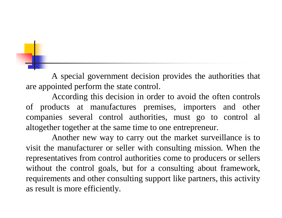A special government decision provides the authorities that are appointed perform the state control.

According this decision in order to avoid the often controls of products at manufactures premises, importers and other companies several control authorities, must go to control al altogether together at the same time to one entrepreneur.

Another new way to carry out the market surveillance is to visit the manufacturer or seller with consulting mission. When the representatives from control authorities come to producers or sellers without the control goals, but for a consulting about framework,requirements and other consulting support like partners, this activity as result is more efficiently.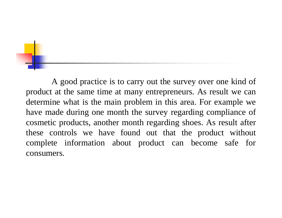A good practice is to carry out the survey over one kind of product at the same time at many entrepreneurs. As result we can determine what is the main problem in this area. For example we have made during one month the survey regarding compliance of cosmetic products, another month regarding shoes. As result after these controls we have found out that the product without complete information about product can become safe for consumers.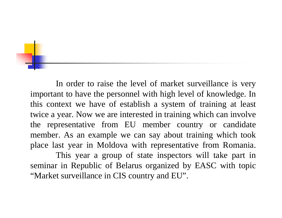In order to raise the level of market surveillance is very important to have the personnel with high level of knowledge. In this context we have of establish a system of training at least twice a year. Now we are interested in training which can involve the representative from EU member country or candidate member. As an example we can say about training which took place last year in Moldova with representative from Romania.

This year a group of state inspectors will take part in seminar in Republic of Belarus organized by EASC with topic "Market surveillance in CIS country and EU".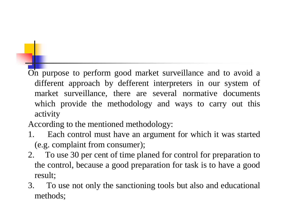On purpose to perform good market surveillance and to avoid a different approach by defferent interpreters in our system of market surveillance, there are several normative documents which provide the methodology and ways to carry out this activity

According to the mentioned methodology:

- 1. Each control must have an argument for which it was started (e.g. complaint from consumer);
- 2. To use 30 per cent of time planed for control for preparation to the control, because a good preparation for task is to have a good result;
- 3. To use not only the sanctioning tools but also and educational methods;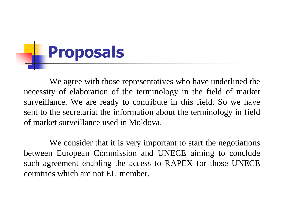## **Proposals**

We agree with those representatives who have underlined the necessity of elaboration of the terminology in the field of market surveillance. We are ready to contribute in this field. So we have sent to the secretariat the information about the terminology in field of market surveillance used in Moldova.

We consider that it is very important to start the negotiations between European Commission and UNECE aiming to conclude such agreement enabling the access to RAPEX for those UNECE countries which are not EU member.